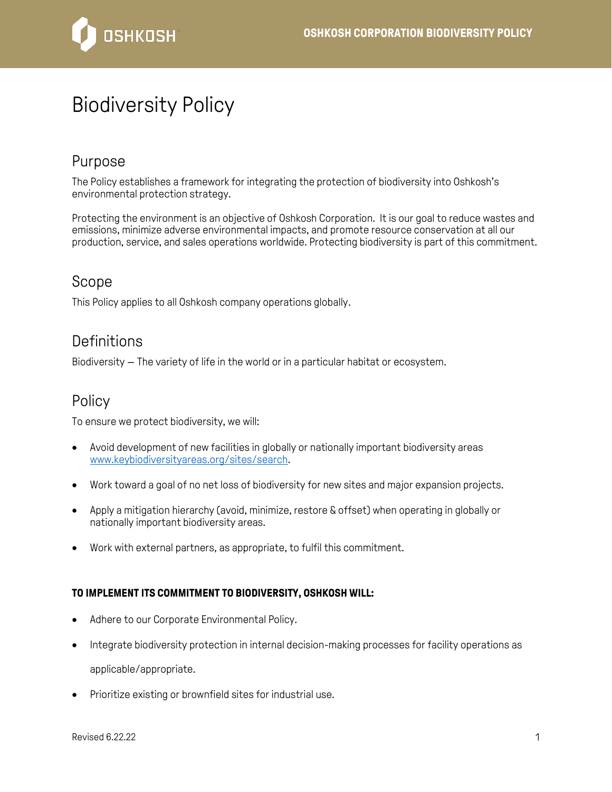

# Biodiversity Policy

## Purpose

The Policy establishes a framework for integrating the protection of biodiversity into Oshkosh's environmental protection strategy.

Protecting the environment is an objective of Oshkosh Corporation. It is our goal to reduce wastes and emissions, minimize adverse environmental impacts, and promote resource conservation at all our production, service, and sales operations worldwide. Protecting biodiversity is part of this commitment.

### Scope

This Policy applies to all Oshkosh company operations globally.

### **Definitions**

Biodiversity — The variety of life in the world or in a particular habitat or ecosystem.

### **Policy**

To ensure we protect biodiversity, we will:

- Avoid development of new facilities in globally or nationally important biodiversity areas [www.keybiodiversityareas.org/sites/search.](https://www.keybiodiversityareas.org/sites/search)
- Work toward a goal of no net loss of biodiversity for new sites and major expansion projects.
- Apply a mitigation hierarchy (avoid, minimize, restore & offset) when operating in globally or nationally important biodiversity areas.
- Work with external partners, as appropriate, to fulfil this commitment.

#### **TO IMPLEMENT ITS COMMITMENT TO BIODIVERSITY, OSHKOSH WILL:**

- Adhere to our Corporate Environmental Policy.
- Integrate biodiversity protection in internal decision-making processes for facility operations as applicable/appropriate.
- Prioritize existing or brownfield sites for industrial use.